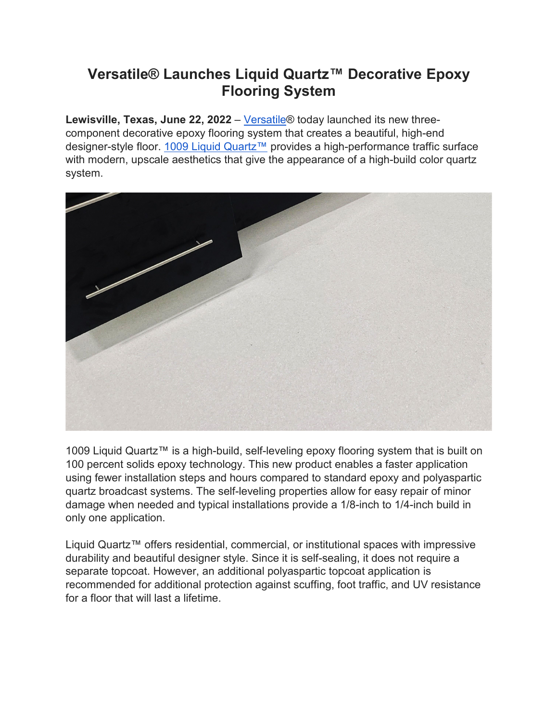## **Versatile® Launches Liquid Quartz™ Decorative Epoxy Flooring System**

Lewisville, Texas, June 22, 2022 – Versatile<sup>®</sup> today launched its new threecomponent decorative epoxy flooring system that creates a beautiful, high-end designer-style floor. [1009 Liquid Quartz™](https://www.garagecoatings.com/product/Liquid-Quartz-Kit.asp) provides a high-performance traffic surface with modern, upscale aesthetics that give the appearance of a high-build color quartz system.



1009 Liquid Quartz™ is a high-build, self-leveling epoxy flooring system that is built on 100 percent solids epoxy technology. This new product enables a faster application using fewer installation steps and hours compared to standard epoxy and polyaspartic quartz broadcast systems. The self-leveling properties allow for easy repair of minor damage when needed and typical installations provide a 1/8-inch to 1/4-inch build in only one application.

Liquid Quartz™ offers residential, commercial, or institutional spaces with impressive durability and beautiful designer style. Since it is self-sealing, it does not require a separate topcoat. However, an additional polyaspartic topcoat application is recommended for additional protection against scuffing, foot traffic, and UV resistance for a floor that will last a lifetime.